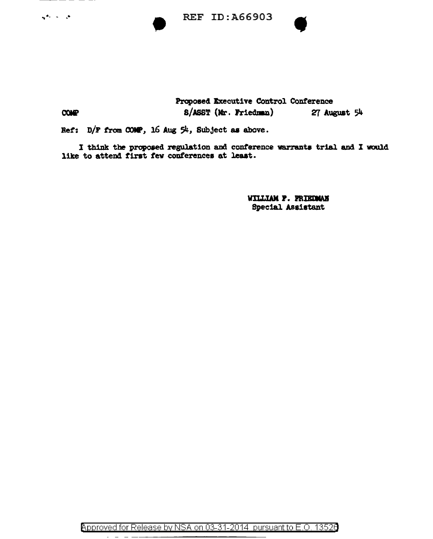**REF ID: A66903** 

## **COMP**

المراجعة وأوليها

Proposed Executive Control Conference 8/ASST (Mr. Friedman)

27 August 54

Ref: D/F from COMP, 16 Aug 54, Subject as above.

I think the proposed regulation and conference warrants trial and I would like to attend first few conferences at least.

> WILLIAM P. PRIEDMAN **Special Assistant**

Approved for Release by NSA on 03-31-2014 pursuant to E.O. 13526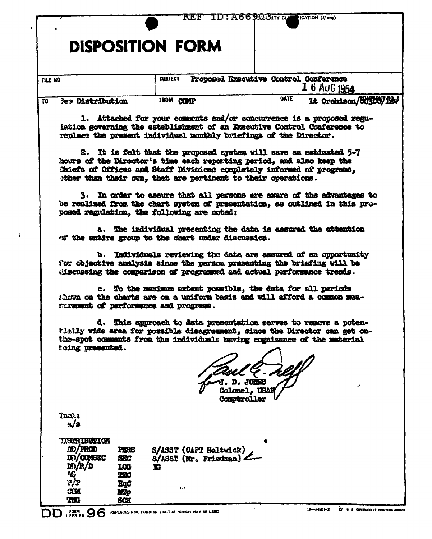|                                                                                                                                                                                                                      | r'et                                                                                                                 | TDT: A669.O.Bity co<br>FICATION (If any)                                                                                                                                                                               |                                   |  |  |  |  |
|----------------------------------------------------------------------------------------------------------------------------------------------------------------------------------------------------------------------|----------------------------------------------------------------------------------------------------------------------|------------------------------------------------------------------------------------------------------------------------------------------------------------------------------------------------------------------------|-----------------------------------|--|--|--|--|
|                                                                                                                                                                                                                      | <b>DISPOSITION FORM</b>                                                                                              |                                                                                                                                                                                                                        |                                   |  |  |  |  |
| <b>FILE NO</b>                                                                                                                                                                                                       | <b>SUBJECT</b>                                                                                                       | Proposed Executive Control Conference<br>1 6 AUG 1954                                                                                                                                                                  |                                   |  |  |  |  |
| <b>Bee Distribution</b><br>TO                                                                                                                                                                                        | FROM COMP                                                                                                            | <b>DATE</b><br>It Orchison/ECTOTTEN                                                                                                                                                                                    |                                   |  |  |  |  |
|                                                                                                                                                                                                                      |                                                                                                                      | 1. Attached for your comments and/or concurrence is a proposed regu-<br>lation governing the establishment of an Executive Control Conference to<br>replace the present individual monthly briefings of the Director.  |                                   |  |  |  |  |
|                                                                                                                                                                                                                      | ther than their own, that are pertinent to their operations.                                                         | 2. It is felt that the proposed system will save an estimated 5-7<br>hours of the Director's time each reporting period, and also keep the<br>Chiefs of Offices and Staff Divisions completely informed of programs.   |                                   |  |  |  |  |
| 3. In order to assure that all persons are aware of the advantages to<br>be realized from the chart system of presentation, as outlined in this pro-<br>posed regulation, the following are noted:                   |                                                                                                                      |                                                                                                                                                                                                                        |                                   |  |  |  |  |
|                                                                                                                                                                                                                      | a. The individual presenting the data is assured the attention<br>of the entire group to the chart under discussion. |                                                                                                                                                                                                                        |                                   |  |  |  |  |
| b. Individuals reviewing the data are assured of an opportunity<br>for objective analysis since the person presenting the briefing will be<br>discussing the comparison of programmed and actual parformance trends. |                                                                                                                      |                                                                                                                                                                                                                        |                                   |  |  |  |  |
|                                                                                                                                                                                                                      | surement of performance and progress.                                                                                | c. To the maximum extent possible, the data for all periods<br>Moon on the charts are on a uniform basis and will afford a common mea-                                                                                 |                                   |  |  |  |  |
| d.                                                                                                                                                                                                                   |                                                                                                                      | This approach to data presentation serves to remove a poten-<br>tlally wide area for possible disagreement, since the Director can get on-<br>the-spot comments from the individuals having cognizance of the material |                                   |  |  |  |  |
| keing presented.                                                                                                                                                                                                     |                                                                                                                      |                                                                                                                                                                                                                        |                                   |  |  |  |  |
|                                                                                                                                                                                                                      |                                                                                                                      | JONES<br><b>Colomel, USAI</b><br>Comptroller                                                                                                                                                                           |                                   |  |  |  |  |
| Incl:<br>a/s                                                                                                                                                                                                         |                                                                                                                      |                                                                                                                                                                                                                        |                                   |  |  |  |  |
| <b>MISTRIBUTION</b><br><i>ID/FROD</i><br>DD/COMBEC<br>m/R/D<br>ጭ<br>P/P                                                                                                                                              | S/ASST (CAPT Holtwick)<br>PERS<br>$S/ASST$ (Mr. Friedman) $\angle$<br><b>SEC</b><br>LOG<br>ю<br>TEC<br>HgC           |                                                                                                                                                                                                                        |                                   |  |  |  |  |
| <b>COM</b><br><b>TW</b><br>FORM <sub>50</sub> 96                                                                                                                                                                     | n r<br>Mp<br><b>SCH</b><br>REPLACES NME FORM 96 1 OCT 48 WHICH MAY BE USED                                           | 16-64801-8                                                                                                                                                                                                             | TT U S GOVERNMENT PRINTING OFFICE |  |  |  |  |

 $\hat{\mathbf{r}}$ 

 $\frac{1}{4}$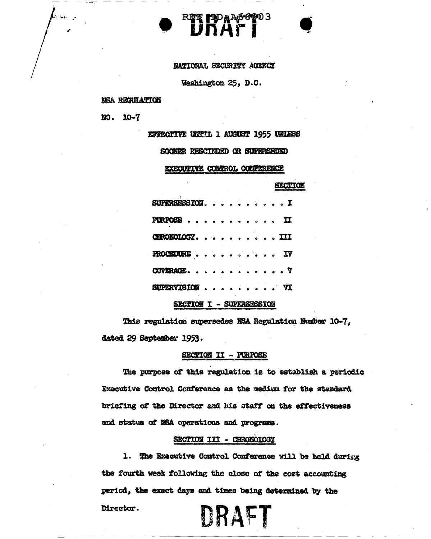NATIONAL SECURITY AGENCY

TIDAA66903<br>Filippi

Washington 25, D.C.

#### NSA REGULATION

 $NO.$  10-7

**EFFECTIVE UNITL 1 AUGUST 1955 UNLESS** 

SOONER RESCINDED OR SUPERSEDED

EXECUTIVE CONTROL CONFERENCE

|                 |  |  |  |  | SECUION |  |
|-----------------|--|--|--|--|---------|--|
| SUPERSESSIONI   |  |  |  |  |         |  |
| PURPOSS II      |  |  |  |  |         |  |
| CHRONOLOGY. III |  |  |  |  |         |  |
| PROCEDURE IV    |  |  |  |  |         |  |
| COVERAGE. $V$   |  |  |  |  |         |  |
| $SUPERVISION$   |  |  |  |  |         |  |

#### SECTION I - SUPERSESSION

This regulation supersedes NSA Regulation Number 10-7. dated 29 September 1953.

#### SECTION II - PURPOSE

The purpose of this regulation is to establish a periodic Executive Control Conference as the medium for the standard briefing of the Director and his staff on the effectiveness and status of NSA operations and programs.

#### SECTION III - CHRONOLOGY

1. The Executive Control Conference will be held during the fourth week following the close of the cost accounting period, the exact days and times being determined by the Director. DRAFT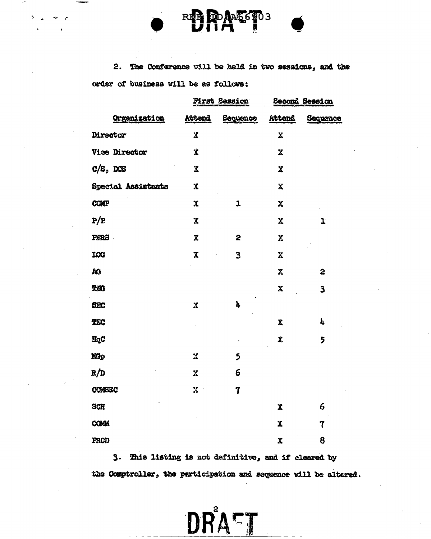

Ą,

 $2.$ The Conference will be held in two sessions, and the order of business will be as follows:

|                           |                         | <b>First Session</b> | <b>Second Session</b>     |          |  |
|---------------------------|-------------------------|----------------------|---------------------------|----------|--|
| Organization              | Attend                  | Sequence             | <b>Attend</b>             | Sequence |  |
| Director                  | Χ                       |                      | $\boldsymbol{\mathrm{x}}$ |          |  |
| <b>Vice Director</b>      | X                       |                      | $\mathbf x$               |          |  |
| $C/S$ , DCS               | X                       |                      | X                         |          |  |
| <b>Special Assistants</b> | X                       |                      | $\pmb{\mathsf{X}}$        |          |  |
| <b>COMP</b>               | X                       | 1                    | $\pmb{\mathsf{X}}$        |          |  |
| $\rm P/P$                 | X                       |                      | $\mathbf x$               | ı        |  |
| PERS                      | $\overline{\mathbf{X}}$ | 2                    | X                         |          |  |
| LOG                       | X                       | 3                    | X                         |          |  |
| AG                        |                         |                      | $\mathbf x$               | 5        |  |
| <b>TWO</b>                |                         |                      | X                         | 3        |  |
| <b>SEC</b>                | $\pmb{\mathsf{X}}$      | 4                    |                           |          |  |
| TEC                       |                         |                      | $\pmb{\chi}$              | 4        |  |
| HqC                       |                         |                      | $\boldsymbol{\chi}$       | 5        |  |
| Mp                        | $\mathbf x$             | 5                    |                           |          |  |
| R/D                       | $\mathbf x$             | 6                    |                           |          |  |
| CONSEC                    | X                       | 7                    |                           |          |  |
| <b>SCH</b>                |                         |                      | $\boldsymbol{x}$          | 6        |  |
| <b>COMM</b>               |                         |                      | Χ                         | 7        |  |
| PROD                      |                         |                      | $\mathbf{x}$              | 8        |  |

3. This listing is not definitive, and if cleared by the Comptroller, the participation and sequence will be altered.

DRATT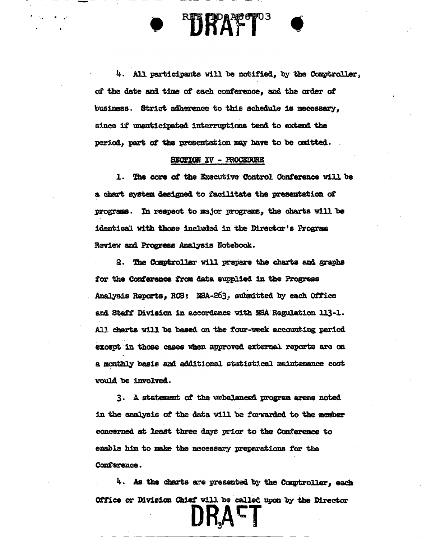4. All participants will be notified, by the Comptroller, of the date and time of each conference, and the order of business. Strict adherence to this schedule is necessary, since if unanticipated interruptions tend to extend the period, part of the presentation may have to be omitted.

**EXTREMEL'S EXTREMELY**<br>FINATI

. .-

--

#### SECTION IV - PROCEDURE

1. The core of the Executive Control Conference will be a chart system designed to facilitate the presentation of programs. In respect to major programs, the charts will be identical with those included in the Director's Program Review and Progress Analysis Notebook.

2. The Comptroller will prepare the charts and graphs for the Conference from data supplied in the Progress Analysis Reports, RCS: NEA-263, submitted by each Office and Staff Division in accordance with NSA Regulation 113-1. All cbarta w1ll be baaed on the four-week accounting period except in those cases when approved external reports are on a monthly basis amt additional statistical mainteDance cost would be involved.

3. A statement of the unbalanced program areas noted in the analysis of the data will be forwarded to the member concerned at least three days prior to the Conference to enable him to make the necessary preparations for the Conference.

4. As the charts are presented by the Comptroller, each Office or Division Chief will be called upon by the Director

IKAE<sup>.</sup>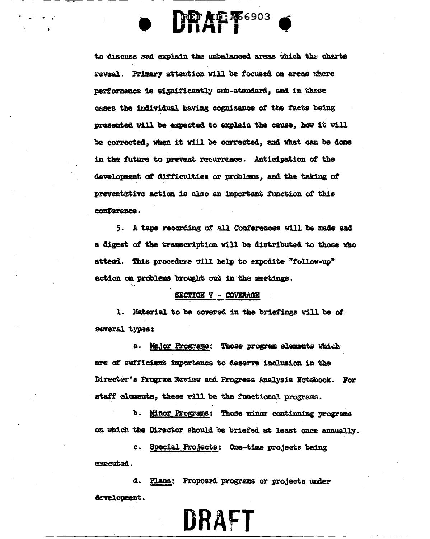to discuss and explain the unbalanced areas which the charts reveal. Primary attention will be focused on areas where performance is significantly sub-standard, and in these cases the individual having cognizance of the facts being presented will be expected to explain the cause, how it will be corrected, when it will be corrected, and what can be done in the future to prevent recurrence. Anticipation of the development of difficulties or problems, and the taking of preventative action is also an important function of this conference.

**DRAF 466903** 

5. A tape recording of all Conferences will be made and a digest of the transcription will be distributed to those who attend. This procedure will help to expedite "follow-up" action on problems brought out in the meetings.

#### SECTION V - COVERAGE

1. Material to be covered in the briefings will be of several types:

a. Major Programe: Those program elements which are of sufficient importance to deserve inclusion in the Director's Program Review and Progress Analysis Notebook. For staff elements, these will be the functional programs.

b. Minor Programs: Those minor continuing programs on which the Director should be briefed at least once annually.

c. Special Projects: One-time projects being executed.

d. Plans: Proposed programs or projects under development.

# DRAFT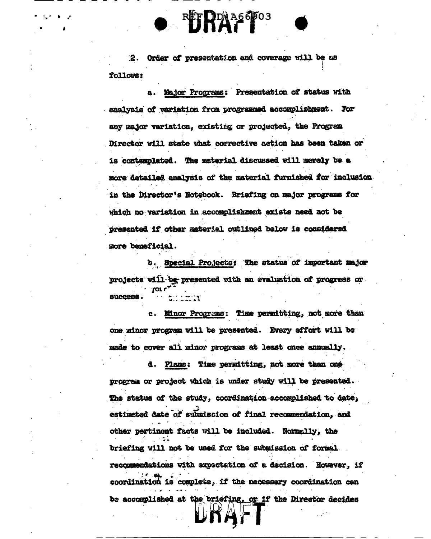2. Order of presentation and coverage will be as follows:

a. Major Programs: Presentation of status with analysis of variation from programmed accomplishment. For any major variation, existing or projected, the Program Director will state what corrective action has been taken or is contemplated. The material discussed will merely be a more detailed analysis of the material furnished for inclusion in the Director's Notebook. Briefing on major programs for which no variation in accomplishment exists need not be presented if other material outlined below is considered more beneficial.

b. Special Projects: The status of important major projects will be presented with an evaluation of progress or success.  $\sim$   $\sim$ 

c. Minor Programs: Time permitting, not more than one minor program will be presented. Every effort will be made to cover all minor programs at least once annually.

d. Plans: Time permitting, not more than one program or project which is under study will be presented. The status of the study, coordination accomplished to date, estimated date of submission of final recommendation, and other pertinent facts will be included. Normally, the briefing will not be used for the submission of formal recommendations with expectation of a decision. However, if coordination is complete, if the necessary coordination can be accomplished at the briefing, or if the Director decides